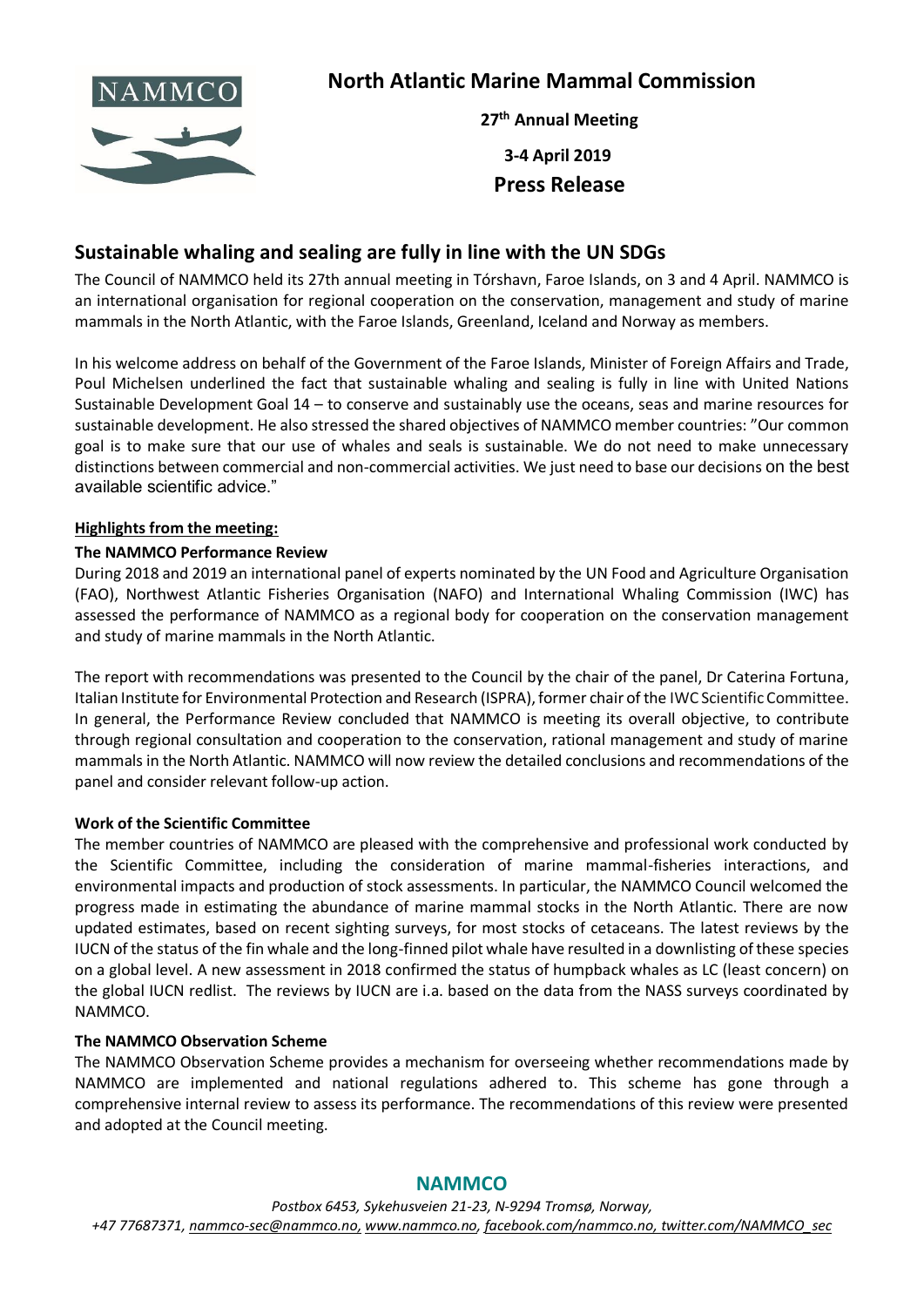

# **North Atlantic Marine Mammal Commission**

**27 th Annual Meeting 3-4 April 2019 Press Release**

# **Sustainable whaling and sealing are fully in line with the UN SDGs**

The Council of NAMMCO held its 27th annual meeting in Tórshavn, Faroe Islands, on 3 and 4 April. NAMMCO is an international organisation for regional cooperation on the conservation, management and study of marine mammals in the North Atlantic, with the Faroe Islands, Greenland, Iceland and Norway as members.

In his welcome address on behalf of the Government of the Faroe Islands, Minister of Foreign Affairs and Trade, Poul Michelsen underlined the fact that sustainable whaling and sealing is fully in line with United Nations Sustainable Development Goal 14 – to conserve and sustainably use the oceans, seas and marine resources for sustainable development. He also stressed the shared objectives of NAMMCO member countries: "Our common goal is to make sure that our use of whales and seals is sustainable. We do not need to make unnecessary distinctions between commercial and non-commercial activities. We just need to base our decisions on the best available scientific advice."

#### **Highlights from the meeting:**

#### **The NAMMCO Performance Review**

During 2018 and 2019 an international panel of experts nominated by the UN Food and Agriculture Organisation (FAO), Northwest Atlantic Fisheries Organisation (NAFO) and International Whaling Commission (IWC) has assessed the performance of NAMMCO as a regional body for cooperation on the conservation management and study of marine mammals in the North Atlantic.

The report with recommendations was presented to the Council by the chair of the panel, Dr Caterina Fortuna, Italian Institute for Environmental Protection and Research (ISPRA), former chair of the IWC Scientific Committee. In general, the Performance Review concluded that NAMMCO is meeting its overall objective, to contribute through regional consultation and cooperation to the conservation, rational management and study of marine mammals in the North Atlantic. NAMMCO will now review the detailed conclusions and recommendations of the panel and consider relevant follow-up action.

#### **Work of the Scientific Committee**

The member countries of NAMMCO are pleased with the comprehensive and professional work conducted by the Scientific Committee, including the consideration of marine mammal-fisheries interactions, and environmental impacts and production of stock assessments. In particular, the NAMMCO Council welcomed the progress made in estimating the abundance of marine mammal stocks in the North Atlantic. There are now updated estimates, based on recent sighting surveys, for most stocks of cetaceans. The latest reviews by the IUCN of the status of the fin whale and the long-finned pilot whale have resulted in a downlisting of these species on a global level. A new assessment in 2018 confirmed the status of humpback whales as LC (least concern) on the global IUCN redlist. The reviews by IUCN are i.a. based on the data from the NASS surveys coordinated by NAMMCO.

#### **The NAMMCO Observation Scheme**

The NAMMCO Observation Scheme provides a mechanism for overseeing whether recommendations made by NAMMCO are implemented and national regulations adhered to. This scheme has gone through a comprehensive internal review to assess its performance. The recommendations of this review were presented and adopted at the Council meeting.

## **NAMMCO**